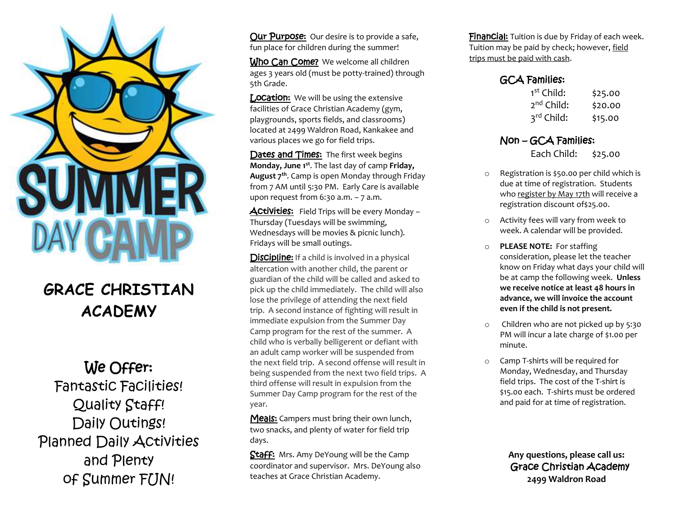

## **GRACE CHRISTIAN ACADEMY**

## We Offer:

Fantastic Facilities! Quality Staff! Daily Outings! Planned Daily Activities and Plenty of Summer FUN!

**Our Purpose:** Our desire is to provide a safe, fun place for children during the summer!

Who Can Come? We welcome all children ages 3 years old (must be potty-trained) through 5th Grade.

**Location:** We will be using the extensive facilities of Grace Christian Academy (gym, playgrounds, sports fields, and classrooms) located at 2499 Waldron Road, Kankakee and various places we go for field trips.

Dates and Times: The first week begins **Monday, June 1st**. The last day of camp **Friday, August 7th**. Camp is open Monday through Friday from 7 AM until 5:30 PM. Early Care is available upon request from  $6:30$  a.m.  $-7$  a.m.

Activities: Field Trips will be every Monday -Thursday (Tuesdays will be swimming, Wednesdays will be movies & picnic lunch). Fridays will be small outings.

**Discipline:** If a child is involved in a physical altercation with another child, the parent or guardian of the child will be called and asked to pick up the child immediately. The child will also lose the privilege of attending the next field trip. A second instance of fighting will result in immediate expulsion from the Summer Day Camp program for the rest of the summer. A child who is verbally belligerent or defiant with an adult camp worker will be suspended from the next field trip. A second offense will result in being suspended from the next two field trips. A third offense will result in expulsion from the Summer Day Camp program for the rest of the year.

Meals: Campers must bring their own lunch, two snacks, and plenty of water for field trip days.

Staff: Mrs. Amy DeYoung will be the Camp coordinator and supervisor. Mrs. DeYoung also teaches at Grace Christian Academy.

**FinanCial:** Tuition is due by Friday of each week. Tuition may be paid by check; however, field trips must be paid with cash.

## GCA Families:

| 1 <sup>st</sup> Child: | \$25.00 |
|------------------------|---------|
| 2 <sup>nd</sup> Child: | \$20.00 |
| 3rd Child:             | \$15.00 |

## Non – GCA Families:

Each Child: \$25.00

- o Registration is \$50.00 per child which is due at time of registration. Students who register by May 17th will receive a registration discount of\$25.00.
- o Activity fees will vary from week to week. A calendar will be provided.
- o **PLEASE NOTE:** For staffing consideration, please let the teacher know on Friday what days your child will be at camp the following week. **Unless we receive notice at least 48 hours in advance, we will invoice the account even if the child is not present.**
- o Children who are not picked up by 5:30 PM will incur a late charge of \$1.00 per minute.
- o Camp T-shirts will be required for Monday, Wednesday, and Thursday field trips. The cost of the T-shirt is \$15.00 each. T-shirts must be ordered and paid for at time of registration.

 **Any questions, please call us:**  Grace Christian Academy  **2499 Waldron Road**